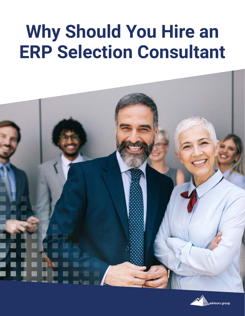## **Why Should You Hire an ERP Selection Consultant**



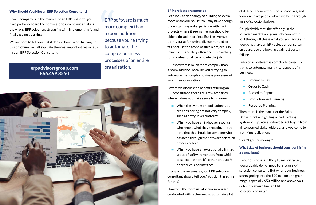Why Should You Hire an ERP Selection Consultant?<br>
If your company is in the market for an ERP platform, you<br>
have probably heard the horror stories: companies making<br>
the wrong ERP selection, struggling with implementing i If your company is in the market for an ERP platform, you have probably heard the horror stories: companies making the wrong ERP selection, struggling with implementing it, and finally giving up trying.

### erpadvisorsgroup.com organization. 866.499.8550

We are here to tell you that it doesn't have to be that way. In this brochure we will evaluate the most important reasons to hire an ERP Selection Consultant.

ERP software is much more complex than a room addition, because you're trying to automate the complex business processes of an entire



### ERP projects are complex

Let's look at an analogy of building an extra room onto your house. You may have enough understanding and experience with fix-it projects where it seems like you should be able to do such a project. But the average do-it-yourselfer is virtually guaranteed to fail because the scope of such a project is so immense — and they often end up searching for a professional to complete the job.

- $\blacksquare$  When the system or applications you are considering are not very complex, such as entry-level platforms.
- $\blacksquare$  When you have an in-house resource who knows what they are doing — but note that this should be someone who has been through the software selection process before. a striking realization: "I can't get this wrong!"
- $\blacksquare$  When you have an exceptionally limited group of software vendors from which to select — where it's either product A or product B, for instance.

ERP software is much more complex than a room addition, because you're trying to automate the complex business processes of an entire organization.

Before we discuss the benefits of hiring an ERP consultant, there are a few scenarios where it does not make sense to hire one:

confronted with is the need to automate a lot

of different complex business processes, and you don't have people who have been through an ERP selection before.

Coupled with that, the offerings in the software market are genuinely complex to sort through. If this is what you are facing and you do not have an ERP selection consultant on board, you are looking at almost certain failure.

Enterprise software is complex because it's trying to automate many vital aspects of a business:

- $\blacksquare$  Procure to Pay
- Order to Cash
- Record to Report
- **-** Production and Planning
- **-** Resource Planning

In any of these cases, a good ERP selection consultant should tell you, "You don't need me for this." However, the more usual scenario you are If your business is in the \$10 million range, you probably do not need to hire an ERP selection consultant. But when your business starts getting into the \$20 million or higher range, especially \$50 million and above, you definitely should hire an ERP selection consultant.

Then there is the matter of the Sales Department and getting a lead tracking system set up. You also have to get buy-in from all concerned stakeholders … and you come to

### What size of business should consider hiring a consultant?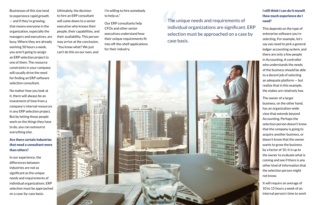to experience rapid growth — and if they're growing, that means everyone in the organization, especially the managers and executives, are busy. Where they are already working 50 hours a week, you aren't going to assign an ERP selection project to one of them. The resource constraints in your company will usually drive the need for finding an ERP software selection consultant.

No matter how you look at it, there will always be an investment of time from a company's internal resources in any ERP selection project. But by letting those people work on the things they have to do, you can outsource everything else.

### Are there certain industries that need a consultant more than others?

In our experience, the differences between industries are not as significant as the unique needs and requirements of individual organizations. ERP selection must be approached on a case-by-case basis.

### I still think I can do it myself. How much experience do I need?

Businesses of this size tend<br>
to experience rapid growth<br>
- and if they're growing,<br>
will come down to a senior<br>
that means everyone in the<br>
executive who knows their<br>
organization, especially the<br>
organization, especially Ultimately, the decision to hire an ERP consultant will come down to a senior executive who knows their people, their capabilities, and their availability. This person may arrive at the conclusion, "You know what? We just can't do this on our own, and

This depends on the type of enterprise software you're selecting. For example, let's say you need to pick a general ledger accounting system, and there are only a few people in Accounting. A controller who understands the needs of the business should be able to a decent job of selecting an adequate platform — but realize that in this example, the stakes are relatively low.

The owner of a larger business, on the other hand, has an organization-wide view that extends beyond Accounting. Perhaps the selection person doesn't know that the company is going to acquire another business, or doesn't know that the owner wants to grow the business by a factor of 10. It is up to the owner to evaluate what is coming and see if there is any other kind of information that the selection person might not know.

It will require an average of 10 to 15 hours a week of an internal person's time to work

I'm willing to hire somebody to help us."

Our ERP consultants help CFOs and other senior executives understand how their unique requirements fit into off-the-shelf applications for their industry.

The unique needs and requirements of individual organizations are significant. ERP selection must be approached on a case by case basis.

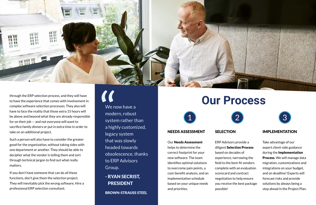

through the ERP selection process, and they will have<br>to have the experience that comes with involvement in<br>complex software selection processes. They also will<br>have to face the reality that those extra 15 hours will<br>be ab to have the experience that comes with involvement in complex software selection processes. They also will have to face the reality that those extra 15 hours will be above and beyond what they are already responsible for on their job — and not everyone will want to sacrifice family dinners or put in extra time in order to take on an additional project.

Such a person will also have to consider the greater good for the organization, without taking sides with one department or another. They should be able to decipher what the vendor is telling them and sort through technical jargon to find out what really matters.

If you don't have someone that can do all these functions, don't give them the selection project. They will inevitably pick the wrong software. Hire a professional ERP selection consultant.

### NEEDS ASSESSMENT

Our Needs Assessment helps to determine the correct footprint for your new software. The team identifies optimal solutions to overcome pain points, a cost-benefit analysis, and an implementation schedule based on your unique needs and priorities.

### **SELECTION**

We now have a modern, robust system rather than a highly customized, legacy system that was slowly headed towards obsolescence, thanks to ERP Advisors Group.

- RYAN SECRIST, PRESIDENT

BROWN-STRAUSS STEEL

## diligent Selection Process

ERP Advisors provide a based on decades of scorecard and contract possible!

- 
- experience, narrowing the
- field to the best-fit vendors
- complete with an evaluation
	-
- negotiation to help ensure
- you receive the best package



### IMPLEMENTATION

Take advantage of our expert client-side guidance during the Implementation Process. We will manage data migration, customizations and integrations on your budget, and on deadline! Experts will forecast risks and provide solutions by always being a step ahead in the Project Plan.



# **Our Process**